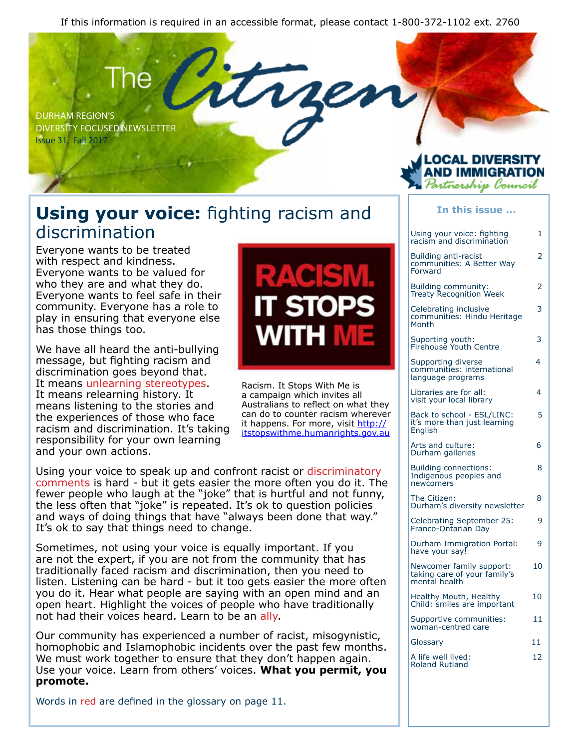If this information is required in an accessible format, please contact 1-800-372-1102 ext. 2760

DURHAM REGION'S DIVERSITY FOCUSED NEWSLETTER Issue 31, Fall 2017

#### **Using your voice:** fighting racism and discrimination

Everyone wants to be treated with respect and kindness. Everyone wants to be valued for who they are and what they do. Everyone wants to feel safe in their community. Everyone has a role to play in ensuring that everyone else has those things too.

We have all heard the anti-bullying message, but fighting racism and discrimination goes beyond that. It means unlearning stereotypes. It means relearning history. It means listening to the stories and the experiences of those who face racism and discrimination. It's taking responsibility for your own learning and your own actions.

# WH

Racism. It Stops With Me is a campaign which invites all Australians to reflect on what they can do to counter racism wherever it happens. For more, visit http:// itstopswithme.humanrights.gov.au

Using your voice to speak up and confront racist or discriminatory comments is hard - but it gets easier the more often you do it. The fewer people who laugh at the "joke" that is hurtful and not funny, the less often that "joke" is repeated. It's ok to question policies and ways of doing things that have "always been done that way." It's ok to say that things need to change.

Sometimes, not using your voice is equally important. If you are not the expert, if you are not from the community that has traditionally faced racism and discrimination, then you need to listen. Listening can be hard - but it too gets easier the more often you do it. Hear what people are saying with an open mind and an open heart. Highlight the voices of people who have traditionally not had their voices heard. Learn to be an ally.

Our community has experienced a number of racist, misogynistic, homophobic and Islamophobic incidents over the past few months. We must work together to ensure that they don't happen again. Use your voice. Learn from others' voices. **What you permit, you promote.**

Words in red are defined in the glossary on page 11.

#### rtnership l'ouncil **In this issue ...**

| Using your voice: fighting                                                | 1  |
|---------------------------------------------------------------------------|----|
| racism and discrimination                                                 |    |
| Building anti-racist<br>communities: A Better Way<br>Forward              | 2  |
| Building community:<br>Treaty Recognition Week                            | 2  |
| Celebrating inclusive<br>communities: Hindu Heritage<br>Month             | 3  |
| Suporting youth:<br>Firehouse Youth Centre                                | 3  |
| Supporting diverse<br>communities: international<br>language programs     | 4  |
| Libraries are for all:<br>visit your local library                        | 4  |
| Back to school - ESL/LINC:<br>it's more than just learning<br>English     | 5  |
| Arts and culture:<br>Durham galleries                                     | 6  |
| <b>Building connections:</b><br>Indigenous peoples and<br>newcomers       | 8  |
| The Citizen:<br>Durham's diversity newsletter                             | 8  |
| Celebrating September 25:<br>Franco-Ontarian Day                          | ٩  |
| Durham Immigration Portal:<br>have your say!                              | 9  |
| Newcomer family support:<br>taking care of your family's<br>mental health | 10 |
| Healthy Mouth, Healthy<br>Child: smiles are important                     | 10 |
| Supportive communities:<br>woman-centred care                             | 11 |
| Glossary                                                                  | 11 |
| A life well lived:<br><b>Roland Rutland</b>                               | 12 |
|                                                                           |    |

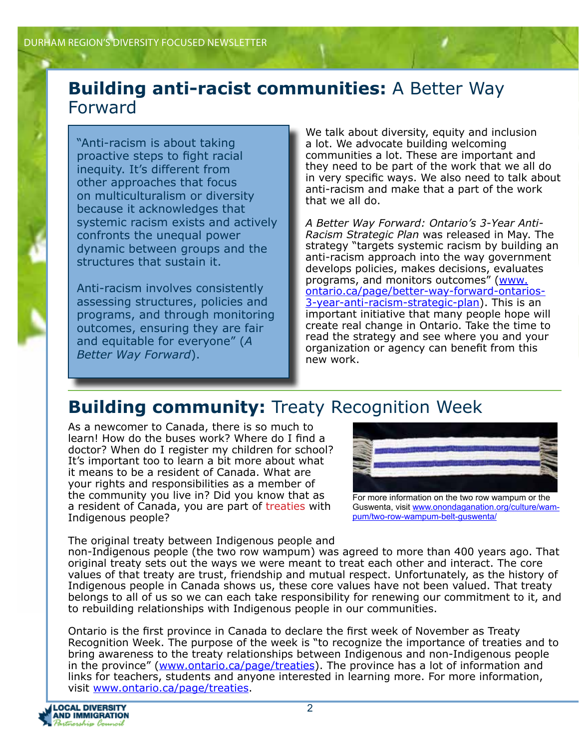#### **Building anti-racist communities:** A Better Way Forward

"Anti-racism is about taking proactive steps to fight racial inequity. It's different from other approaches that focus on multiculturalism or diversity because it acknowledges that systemic racism exists and actively confronts the unequal power dynamic between groups and the structures that sustain it.

Anti-racism involves consistently assessing structures, policies and programs, and through monitoring outcomes, ensuring they are fair and equitable for everyone" (*A Better Way Forward*).

We talk about diversity, equity and inclusion a lot. We advocate building welcoming communities a lot. These are important and they need to be part of the work that we all do in very specific ways. We also need to talk about anti-racism and make that a part of the work that we all do.

*A Better Way Forward: Ontario's 3-Year Anti-Racism Strategic Plan* was released in May. The strategy "targets systemic racism by building an anti-racism approach into the way government develops policies, makes decisions, evaluates programs, and monitors outcomes" (www. ontario.ca/page/better-way-forward-ontarios-3-year-anti-racism-strategic-plan). This is an important initiative that many people hope will create real change in Ontario. Take the time to read the strategy and see where you and your organization or agency can benefit from this new work.

### **Building community:** Treaty Recognition Week

As a newcomer to Canada, there is so much to learn! How do the buses work? Where do I find a doctor? When do I register my children for school? It's important too to learn a bit more about what it means to be a resident of Canada. What are your rights and responsibilities as a member of the community you live in? Did you know that as a resident of Canada, you are part of treaties with Indigenous people?

For more information on the two row wampum or the Guswenta, visit www.onondaganation.org/culture/wampum/two-row-wampum-belt-guswenta/

The original treaty between Indigenous people and non-Indigenous people (the two row wampum) was agreed to more than 400 years ago. That original treaty sets out the ways we were meant to treat each other and interact. The core values of that treaty are trust, friendship and mutual respect. Unfortunately, as the history of Indigenous people in Canada shows us, these core values have not been valued. That treaty belongs to all of us so we can each take responsibility for renewing our commitment to it, and to rebuilding relationships with Indigenous people in our communities.

Ontario is the first province in Canada to declare the first week of November as Treaty Recognition Week. The purpose of the week is "to recognize the importance of treaties and to bring awareness to the treaty relationships between Indigenous and non-Indigenous people in the province" (www.ontario.ca/page/treaties). The province has a lot of information and links for teachers, students and anyone interested in learning more. For more information, visit www.ontario.ca/page/treaties.

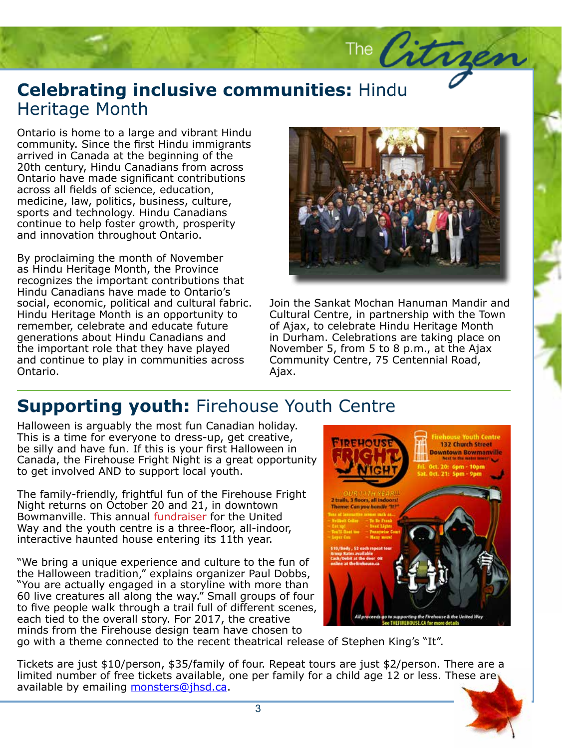#### **Celebrating inclusive communities:** Hindu<br>Heritage Month Heritage Month

Ontario is home to a large and vibrant Hindu community. Since the first Hindu immigrants arrived in Canada at the beginning of the 20th century, Hindu Canadians from across Ontario have made significant contributions across all fields of science, education, medicine, law, politics, business, culture, sports and technology. Hindu Canadians continue to help foster growth, prosperity and innovation throughout Ontario.

By proclaiming the month of November as Hindu Heritage Month, the Province recognizes the important contributions that Hindu Canadians have made to Ontario's social, economic, political and cultural fabric. Hindu Heritage Month is an opportunity to remember, celebrate and educate future generations about Hindu Canadians and the important role that they have played and continue to play in communities across Ontario.



The Citrae

Join the Sankat Mochan Hanuman Mandir and<br>Cultural Centre, in partnership with the Town<br>of Aiax, to celebrate Hindu Heritage Menth of *n* Jurham. Celebrations are taking place of<br>In Durham. Celebrations are taking place of<br>November 5, from 5 to 8 p.m., at the Ajax Cultural Centre, in partnership with the Town of Ajax, to celebrate Hindu Heritage Month in Durham. Celebrations are taking place on Community Centre, 75 Centennial Road, Ajax.

#### **Supporting youth:** Firehouse Youth Centre

Halloween is arguably the most fun Canadian holiday. This is a time for everyone to dress-up, get creative, be silly and have fun. If this is your first Halloween in Canada, the Firehouse Fright Night is a great opportunity to get involved AND to support local youth.

The family-friendly, frightful fun of the Firehouse Fright Night returns on October 20 and 21, in downtown Bowmanville. This annual fundraiser for the United Way and the youth centre is a three-floor, all-indoor, interactive haunted house entering its 11th year.

"We bring a unique experience and culture to the fun of the Halloween tradition," explains organizer Paul Dobbs, "You are actually engaged in a storyline with more than 60 live creatures all along the way." Small groups of four to five people walk through a trail full of different scenes, each tied to the overall story. For 2017, the creative minds from the Firehouse design team have chosen to



go with a theme connected to the recent theatrical release of Stephen King's "It".

Tickets are just \$10/person, \$35/family of four. Repeat tours are just \$2/person. There are a limited number of free tickets available, one per family for a child age 12 or less. These are available by emailing monsters@jhsd.ca.

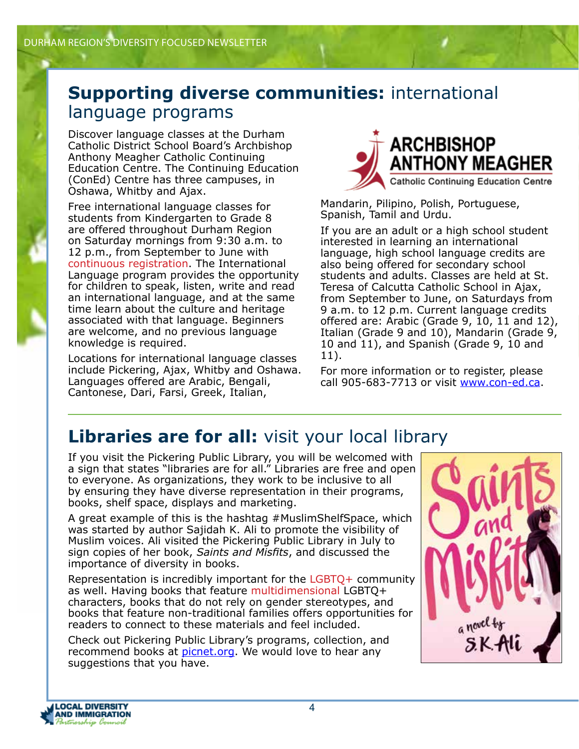#### **Supporting diverse communities:** international language programs

Discover language classes at the Durham Catholic District School Board's Archbishop Anthony Meagher Catholic Continuing Education Centre. The Continuing Education (ConEd) Centre has three campuses, in Oshawa, Whitby and Ajax.

Free international language classes for students from Kindergarten to Grade 8 are offered throughout Durham Region on Saturday mornings from 9:30 a.m. to 12 p.m., from September to June with continuous registration. The International Language program provides the opportunity for children to speak, listen, write and read an international language, and at the same time learn about the culture and heritage associated with that language. Beginners are welcome, and no previous language knowledge is required.

Locations for international language classes include Pickering, Ajax, Whitby and Oshawa. Languages offered are Arabic, Bengali, Cantonese, Dari, Farsi, Greek, Italian,



Mandarin, Pilipino, Polish, Portuguese, Spanish, Tamil and Urdu.

If you are an adult or a high school student interested in learning an international language, high school language credits are also being offered for secondary school students and adults. Classes are held at St. Teresa of Calcutta Catholic School in Ajax, from September to June, on Saturdays from 9 a.m. to 12 p.m. Current language credits offered are: Arabic (Grade 9, 10, 11 and 12), Italian (Grade 9 and 10), Mandarin (Grade 9, 10 and 11), and Spanish (Grade 9, 10 and 11).

For more information or to register, please call 905-683-7713 or visit www.con-ed.ca.

#### **Libraries are for all:** visit your local library

If you visit the Pickering Public Library, you will be welcomed with a sign that states "libraries are for all." Libraries are free and open to everyone. As organizations, they work to be inclusive to all by ensuring they have diverse representation in their programs, books, shelf space, displays and marketing.

A great example of this is the hashtag #MuslimShelfSpace, which was started by author Sajidah K. Ali to promote the visibility of Muslim voices. Ali visited the Pickering Public Library in July to sign copies of her book, *Saints and Misfits*, and discussed the importance of diversity in books.

Representation is incredibly important for the LGBTQ+ community as well. Having books that feature multidimensional LGBTQ+ characters, books that do not rely on gender stereotypes, and books that feature non-traditional families offers opportunities for readers to connect to these materials and feel included.

Check out Pickering Public Library's programs, collection, and recommend books at picnet.org. We would love to hear any suggestions that you have.



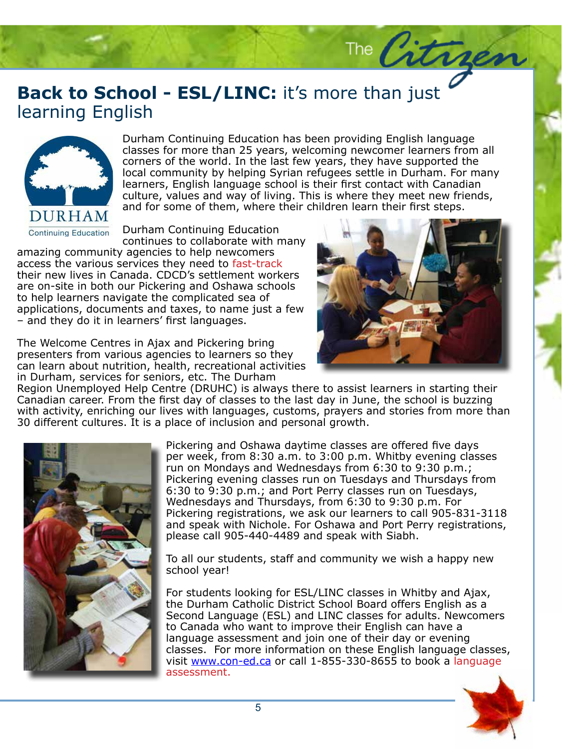#### **Back to School - ESL/LINC:** it's more than just learning English learning English



Durham Continuing Education has been providing English language classes for more than 25 years, welcoming newcomer learners from all corners of the world. In the last few years, they have supported the local community by helping Syrian refugees settle in Durham. For many learners, English language school is their first contact with Canadian culture, values and way of living. This is where they meet new friends, and for some of them, where their children learn their first steps.

Durham Continuing Education continues to collaborate with many

amazing community agencies to help newcomers access the various services they need to fast-track their new lives in Canada. CDCD's settlement workers are on-site in both our Pickering and Oshawa schools to help learners navigate the complicated sea of applications, documents and taxes, to name just a few – and they do it in learners' first languages.

The Welcome Centres in Ajax and Pickering bring presenters from various agencies to learners so they can learn about nutrition, health, recreational activities in Durham, services for seniors, etc. The Durham



The Citrger

Region Unemployed Help Centre (DRUHC) is always there to assist learners in starting their Canadian career. From the first day of classes to the last day in June, the school is buzzing with activity, enriching our lives with languages, customs, prayers and stories from more than 30 different cultures. It is a place of inclusion and personal growth.



Pickering and Oshawa daytime classes are offered five days per week, from 8:30 a.m. to 3:00 p.m. Whitby evening classes run on Mondays and Wednesdays from 6:30 to 9:30 p.m.; Pickering evening classes run on Tuesdays and Thursdays from 6:30 to 9:30 p.m.; and Port Perry classes run on Tuesdays, Wednesdays and Thursdays, from 6:30 to 9:30 p.m. For Pickering registrations, we ask our learners to call 905-831-3118 and speak with Nichole. For Oshawa and Port Perry registrations, please call 905-440-4489 and speak with Siabh.

To all our students, staff and community we wish a happy new school year!

For students looking for ESL/LINC classes in Whitby and Ajax, the Durham Catholic District School Board offers English as a Second Language (ESL) and LINC classes for adults. Newcomers to Canada who want to improve their English can have a language assessment and join one of their day or evening classes. For more information on these English language classes, visit www.con-ed.ca or call 1-855-330-8655 to book a language assessment.

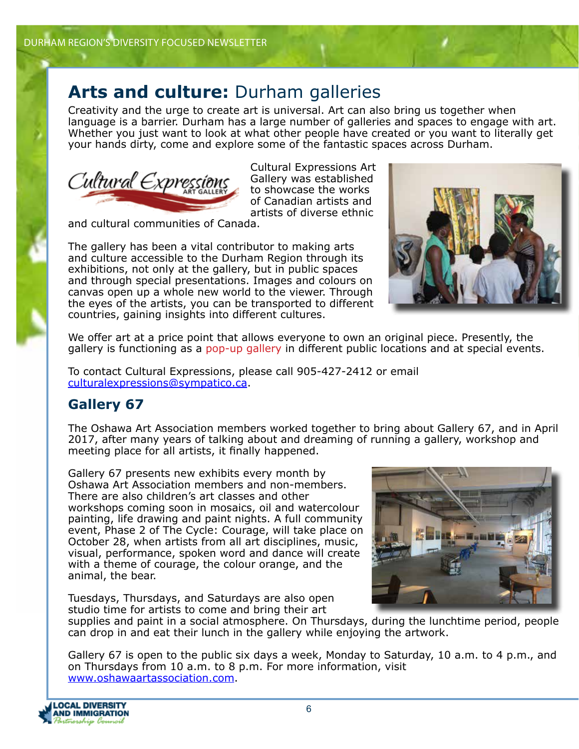#### Arts and culture: Durham galleries

Creativity and the urge to create art is universal. Art can also bring us together when language is a barrier. Durham has a large number of galleries and spaces to engage with art. Whether you just want to look at what other people have created or you want to literally get your hands dirty, come and explore some of the fantastic spaces across Durham.



Cultural Expressions Art Gallery was established to showcase the works of Canadian artists and artists of diverse ethnic

and cultural communities of Canada.

The gallery has been a vital contributor to making arts and culture accessible to the Durham Region through its exhibitions, not only at the gallery, but in public spaces and through special presentations. Images and colours on canvas open up a whole new world to the viewer. Through the eyes of the artists, you can be transported to different countries, gaining insights into different cultures.



We offer art at a price point that allows everyone to own an original piece. Presently, the gallery is functioning as a pop-up gallery in different public locations and at special events.

To contact Cultural Expressions, please call 905-427-2412 or email culturalexpressions@sympatico.ca.

#### **Gallery 67**

The Oshawa Art Association members worked together to bring about Gallery 67, and in April 2017, after many years of talking about and dreaming of running a gallery, workshop and meeting place for all artists, it finally happened.

Gallery 67 presents new exhibits every month by Oshawa Art Association members and non-members. There are also children's art classes and other workshops coming soon in mosaics, oil and watercolour painting, life drawing and paint nights. A full community event, Phase 2 of The Cycle: Courage, will take place on October 28, when artists from all art disciplines, music, visual, performance, spoken word and dance will create with a theme of courage, the colour orange, and the animal, the bear.

Tuesdays, Thursdays, and Saturdays are also open studio time for artists to come and bring their art



supplies and paint in a social atmosphere. On Thursdays, during the lunchtime period, people can drop in and eat their lunch in the gallery while enjoying the artwork.

Gallery 67 is open to the public six days a week, Monday to Saturday, 10 a.m. to 4 p.m., and on Thursdays from 10 a.m. to 8 p.m. For more information, visit www.oshawaartassociation.com.

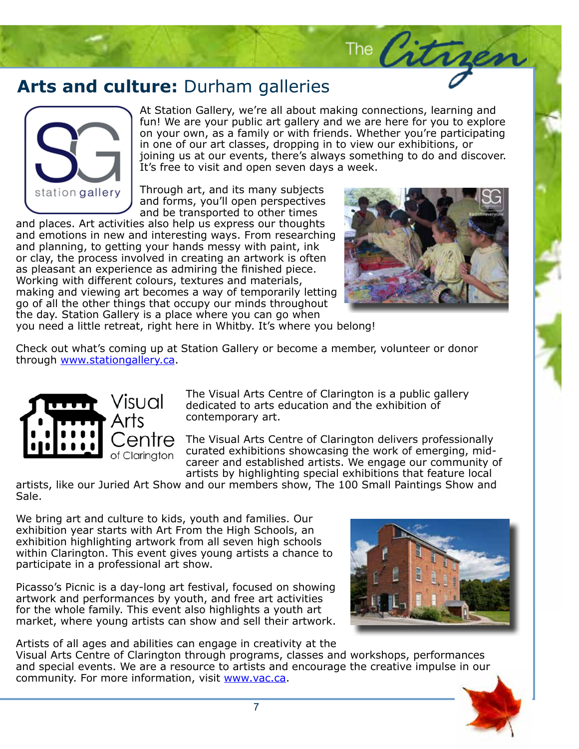#### Arts and culture: Durham galleries



At Station Gallery, we're all about making connections, learning and fun! We are your public art gallery and we are here for you to explore on your own, as a family or with friends. Whether you're participating in one of our art classes, dropping in to view our exhibitions, or joining us at our events, there's always something to do and discover. It's free to visit and open seven days a week.

Through art, and its many subjects and forms, you'll open perspectives and be transported to other times

and places. Art activities also help us express our thoughts and emotions in new and interesting ways. From researching and planning, to getting your hands messy with paint, ink or clay, the process involved in creating an artwork is often as pleasant an experience as admiring the finished piece. Working with different colours, textures and materials, making and viewing art becomes a way of temporarily letting go of all the other things that occupy our minds throughout the day. Station Gallery is a place where you can go when



The Citra

you need a little retreat, right here in Whitby. It's where you belong!

Check out what's coming up at Station Gallery or become a member, volunteer or donor through www.stationgallery.ca.



The Visual Arts Centre of Clarington is a public gallery dedicated to arts education and the exhibition of contemporary art.

The Visual Arts Centre of Clarington delivers professionally curated exhibitions showcasing the work of emerging, midcareer and established artists. We engage our community of artists by highlighting special exhibitions that feature local

artists, like our Juried Art Show and our members show, The 100 Small Paintings Show and Sale.

We bring art and culture to kids, youth and families. Our exhibition year starts with Art From the High Schools, an exhibition highlighting artwork from all seven high schools within Clarington. This event gives young artists a chance to participate in a professional art show.

Picasso's Picnic is a day-long art festival, focused on showing artwork and performances by youth, and free art activities for the whole family. This event also highlights a youth art market, where young artists can show and sell their artwork.



Artists of all ages and abilities can engage in creativity at the Visual Arts Centre of Clarington through programs, classes and workshops, performances and special events. We are a resource to artists and encourage the creative impulse in our community. For more information, visit www.vac.ca.

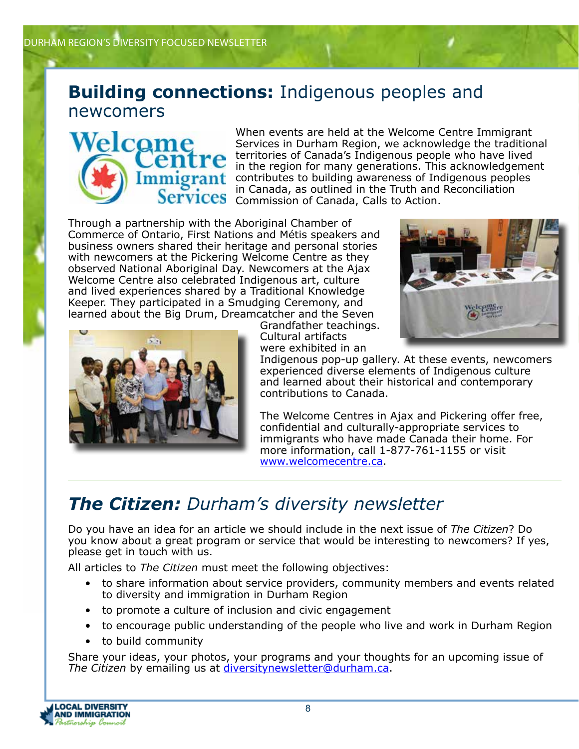#### **Building connections:** Indigenous peoples and newcomers



When events are held at the Welcome Centre Immigrant Services in Durham Region, we acknowledge the traditional territories of Canada's Indigenous people who have lived in the region for many generations. This acknowledgement **nt** contributes to building awareness of Indigenous peoples in Canada, as outlined in the Truth and Reconciliation **Services** Commission of Canada, Calls to Action.

Through a partnership with the Aboriginal Chamber of Commerce of Ontario, First Nations and Métis speakers and business owners shared their heritage and personal stories with newcomers at the Pickering Welcome Centre as they observed National Aboriginal Day. Newcomers at the Ajax Welcome Centre also celebrated Indigenous art, culture and lived experiences shared by a Traditional Knowledge Keeper. They participated in a Smudging Ceremony, and learned about the Big Drum, Dreamcatcher and the Seven



Grandfather teachings. Cultural artifacts were exhibited in an



Indigenous pop-up gallery. At these events, newcomers experienced diverse elements of Indigenous culture and learned about their historical and contemporary contributions to Canada.

The Welcome Centres in Ajax and Pickering offer free, confidential and culturally-appropriate services to immigrants who have made Canada their home. For more information, call 1-877-761-1155 or visit www.welcomecentre.ca.

### *The Citizen: Durham's diversity newsletter*

Do you have an idea for an article we should include in the next issue of *The Citizen*? Do you know about a great program or service that would be interesting to newcomers? If yes, please get in touch with us.

All articles to *The Citizen* must meet the following objectives:

- to share information about service providers, community members and events related to diversity and immigration in Durham Region
- to promote a culture of inclusion and civic engagement
- to encourage public understanding of the people who live and work in Durham Region
- to build community

Share your ideas, your photos, your programs and your thoughts for an upcoming issue of *The Citizen* by emailing us at diversitynewsletter@durham.ca.

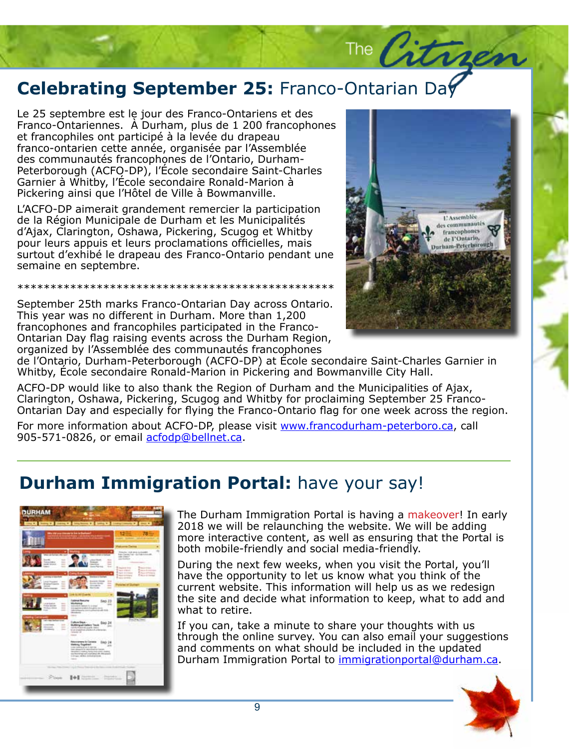## **Celebrating September 25:** Franco-Ontarian Day<br>Le 25 septembre est le jour des Franco-Ontariens et des<br>**Le 25 septembre est le jour des Franco**-Ontariens et des

Franco-Ontariennes. À Durham, plus de 1 200 frar<br>et francophiles ont participé à la levée du drapeau nanco ontarien ectte annec, organisee par missemblec<br>des communautés francophones de l'Ontario, Durham-Peterborough (ACFO-DP), l'École secondaire Saint-Charles Garnier à Whitby, l'École secondaire Ronald-Marion à Pickering ainsi que l'Hôtel de Ville à Bowmanville. Le 25 septembre est le jour des Franco-Ontariens et des Franco-Ontariennes. À Durham, plus de 1 200 francophones franco-ontarien cette année, organisée par l'Assemblée

L'ACFO-DP aimerait grandement remercier la participation de la Région Municipale de Durham et les Municipalités d'Ajax, Clarington, Oshawa, Pickering, Scugog et Whitby pour leurs appuis et leurs proclamations officielles, mais surtout d'exhibé le drapeau des Franco-Ontario pendant une<br>serosine en contambre velit in auctor eleifend, est nisl posuere massa, ac ullamassa, ac ullamassa, ac ullamassa, ac ullamassa, ac u semaine en septembre.

justo. Ut hendrerit felis eu turpis. \*\*\*\*\*\*\*\*\*\*\*\*\*\*\*\*\*\*\*\*\*\*\*\*\*\*\*\*\*\*\*\*\*\*\*\*\*\*\*\*\*\*\*\*\*\*\*\*

September 25th marks Franco-Ontarian Day across Ontario. This year was no different in Durham. More than 1,200 francophones and francophiles participated in the Franco-Ontarian Day flag raising events across the Durham Region, organized by l'Assemblée des communautés francophones



The Citres

e Saint-Charles Garnier in<br>ville City Hall. de l'Ontario, Durham-Peterborough (ACFO-DP) at École secondaire Saint-Charles Garnier in Whitby, École secondaire Ronald-Marion in Pickering and Bowmanville City Hall.

ACFO-DP would like to also thank the Region of Durham and the Municipalities of Ajax, Clarington, Oshawa, Pickering, Scugog and Whitby for proclaiming September 25 Franco-Ontarian Day and especially for flying the Franco-Ontario flag for one week across the region.

For more information about ACFO-DP, please visit www.francodurham-peterboro.ca, call 905-571-0826, or email acfodp@bellnet.ca.

#### **Durham Immigration Portal: have your say!**



The Durham Immigration Portal is having a makeover! In early 2018 we will be relaunching the website. We will be adding more interactive content, as well as ensuring that the Portal is both mobile-friendly and social media-friendly.

During the next few weeks, when you visit the Portal, you'll have the opportunity to let us know what you think of the current website. This information will help us as we redesign the site and decide what information to keep, what to add and what to retire.

If you can, take a minute to share your thoughts with us through the online survey. You can also email your suggestions and comments on what should be included in the updated Durham Immigration Portal to immigrationportal@durham.ca.

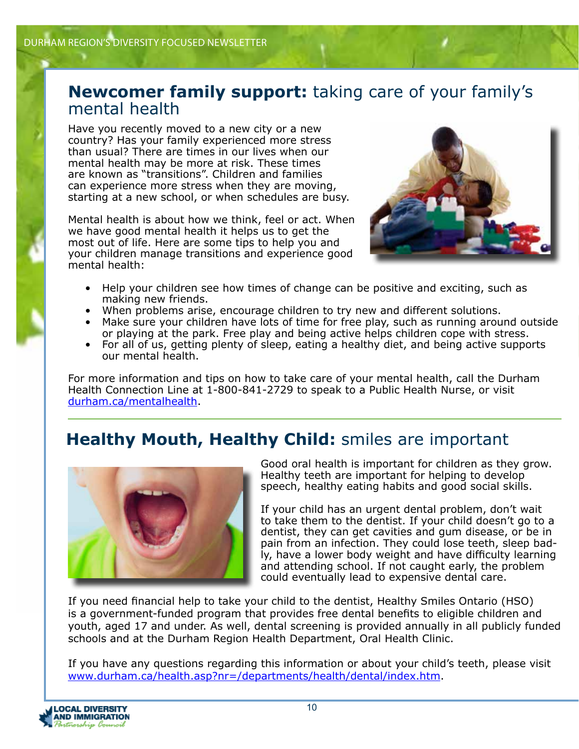#### **Newcomer family support:** taking care of your family's mental health

Have you recently moved to a new city or a new country? Has your family experienced more stress than usual? There are times in our lives when our mental health may be more at risk. These times are known as "transitions". Children and families can experience more stress when they are moving, starting at a new school, or when schedules are busy.

Mental health is about how we think, feel or act. When we have good mental health it helps us to get the most out of life. Here are some tips to help you and your children manage transitions and experience good mental health:



- Help your children see how times of change can be positive and exciting, such as making new friends.
- When problems arise, encourage children to try new and different solutions.
- Make sure your children have lots of time for free play, such as running around outside or playing at the park. Free play and being active helps children cope with stress.
- For all of us, getting plenty of sleep, eating a healthy diet, and being active supports our mental health.

For more information and tips on how to take care of your mental health, call the Durham Health Connection Line at 1-800-841-2729 to speak to a Public Health Nurse, or visit durham.ca/mentalhealth.

#### **Healthy Mouth, Healthy Child:** smiles are important



Good oral health is important for children as they grow. Healthy teeth are important for helping to develop speech, healthy eating habits and good social skills.

If your child has an urgent dental problem, don't wait to take them to the dentist. If your child doesn't go to a dentist, they can get cavities and gum disease, or be in pain from an infection. They could lose teeth, sleep badly, have a lower body weight and have difficulty learning and attending school. If not caught early, the problem could eventually lead to expensive dental care.

If you need financial help to take your child to the dentist, Healthy Smiles Ontario (HSO) is a government-funded program that provides free dental benefits to eligible children and youth, aged 17 and under. As well, dental screening is provided annually in all publicly funded schools and at the Durham Region Health Department, Oral Health Clinic.

If you have any questions regarding this information or about your child's teeth, please visit www.durham.ca/health.asp?nr=/departments/health/dental/index.htm.

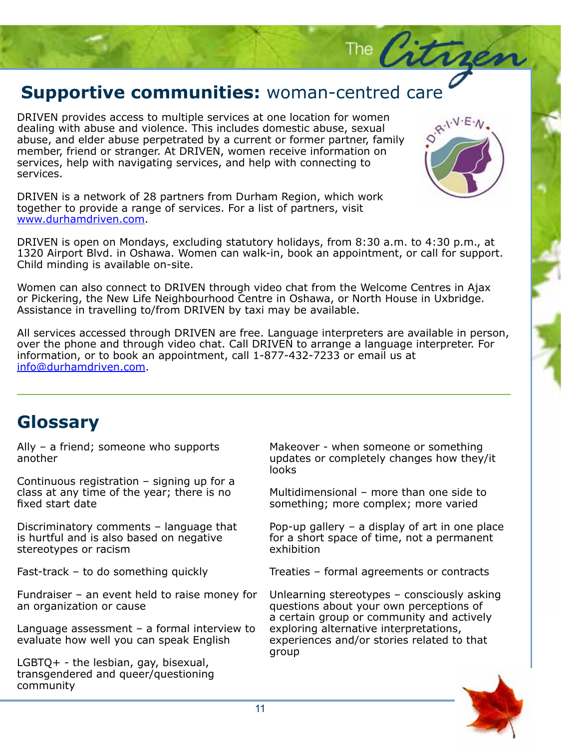## **Supportive communities:** woman-centred care

DRIVEN provides access to multiple services at one location for women dealing with abuse and violence. This includes domestic abuse, sexual abuse, and elder abuse perpetrated by a current or former partner, family member, friend or stranger. At DRIVEN, women receive information on services, help with navigating services, and help with connecting to services.



The City

DRIVEN is a network of 28 partners from Durham Region, which work together to provide a range of services. For a list of partners, visit www.durhamdriven.com.

DRIVEN is open on Mondays, excluding statutory holidays, from 8:30 a.m. to 4:30 p.m., at 1320 Airport Blvd. in Oshawa. Women can walk-in, book an appointment, or call for support. Child minding is available on-site.

Women can also connect to DRIVEN through video chat from the Welcome Centres in Ajax or Pickering, the New Life Neighbourhood Centre in Oshawa, or North House in Uxbridge. Assistance in travelling to/from DRIVEN by taxi may be available.

All services accessed through DRIVEN are free. Language interpreters are available in person, over the phone and through video chat. Call DRIVEN to arrange a language interpreter. For information, or to book an appointment, call 1-877-432-7233 or email us at info@durhamdriven.com.

#### **Glossary**

Ally – a friend; someone who supports another

Continuous registration – signing up for a class at any time of the year; there is no fixed start date

Discriminatory comments – language that is hurtful and is also based on negative stereotypes or racism

Fast-track – to do something quickly

Fundraiser – an event held to raise money for an organization or cause

Language assessment – a formal interview to evaluate how well you can speak English

LGBTQ+ - the lesbian, gay, bisexual, transgendered and queer/questioning community

Makeover - when someone or something updates or completely changes how they/it looks

Multidimensional – more than one side to something; more complex; more varied

Pop-up gallery – a display of art in one place for a short space of time, not a permanent exhibition

Treaties – formal agreements or contracts

Unlearning stereotypes – consciously asking questions about your own perceptions of a certain group or community and actively exploring alternative interpretations, experiences and/or stories related to that group